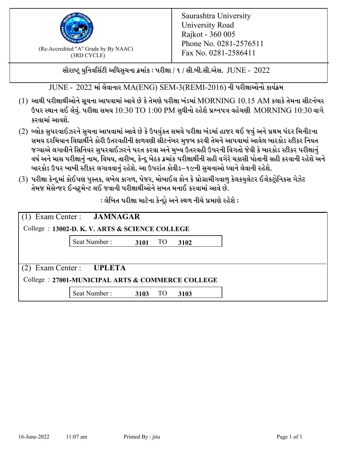

 $F_{\text{R}}$  (Re-Accredited "A" Grade by By NAAC)<br>(3PD CVCLE)<br> $F_{\text{R}}$  No. 0281-2586411 (3RD CYCLE)

સૌરાષ્ટ્ર યુનિવર્સિટી અધિસુચના ક્રમાંક : પરીક્ષા / ૧ / સી.બી.સી.એસ.  $\,$  JUNE -  $\,2022$ 

JUNE - 2022 માં લેવાનાર MA(ENG) SEM-3(REMI-2016) ની પરીક્ષાઓનો કાર્યક્રમ

- $(1)$  આથી પરીક્ષાર્થીઓને સૂચના આપવામાં આવે છે કે તેમણે પરીક્ષા ખંડમાં  $\operatorname{MORNING}$   $10.15$   $\operatorname{AM}$  કલાકે તેમના સીટનંબર ઉપર સ્થાન લઈ લેવું. પરીક્ષા સમય  $10:30 \text{ TO } 1:00 \text{ PM}$  સુધીનો રહેશે પ્રશ્નપત્ર વહેચણી  $\text{MORNING } 10:30$  વાગે કરવામાં આવશે.
- (2) બ્લોક સુપરવાઈઝરને સુચના આપવામાં આવે છે કે ઉપર્યુકત સમયે પરીક્ષા ખંડમાં હાજર થઈ જવું અને પ્રથમ પંદર મિનીટના સમય દરમિયાન વિદ્યાર્થીને કોરી ઉતરવહીની ફાળવણી સીટનંબર મજબ કરવી તેમને આપવામાં આવેલ બારકોડ સ્ટીકર નિયત જગ્યાએ લગાવીને સિનિયર સુપરવાઈઝરને પરત કરવા અને મુખ્ય ઉતરવહી ઉપરની વિગતો જેવી કે બારકોડ સ્ટીકર પરીક્ષ<u>ાન</u>ં વર્ષ અને માસ પરીક્ષાનું નામ, વિષય, તારીખ, કેન્દ્ર બેઠક ક્રમાંક પરીક્ષાર્થીની સહી વગેરે ચકાસી પોતાની સહી કરવાની રહેશે અને બારકોડ ઉપર ખાખી સ્ટીકર લગાવવાનં રહેશે. આ ઉપરાંત કોવીડ–૧૯ની સચનાઓ ધ્યાને લેવાની રહેશે.
- (3) પરીક્ષા કેન્દ્રમાં કોઈપણ પુસ્તક, લખેલ કાગળ, પેજર, મોબાઈલ ફોન કે પ્રોગ્રામીંગવાળુ કેલકયુલેટર ઈલેકટ્રોનિકસ ગેઝેટ તેમજ મેસેન્જર ઈન્સ્ટમેન્ટ લઈ જવાની પરીક્ષાર્થીઓને સખત મનાઈ કરવામાં આવે છે.

 $:$ લેખિત પરીક્ષા માટેના કેન્દ્રો અને સ્થળ નીચે પ્રમાણે રહેશે  $:$ 

|                                                  | (1) Exam Center : <b>JAMNAGAR</b><br>College : 13002-D. K. V. ARTS & SCIENCE COLLEGE |      |           |      |  |  |  |
|--------------------------------------------------|--------------------------------------------------------------------------------------|------|-----------|------|--|--|--|
|                                                  | Seat Number: 3101 TO                                                                 |      |           | 3102 |  |  |  |
|                                                  |                                                                                      |      |           |      |  |  |  |
| Exam Center : UPLETA<br>(2)                      |                                                                                      |      |           |      |  |  |  |
| College: 27001-MUNICIPAL ARTS & COMMERCE COLLEGE |                                                                                      |      |           |      |  |  |  |
|                                                  | Seat Number:                                                                         | 3103 | <b>TO</b> | 3103 |  |  |  |